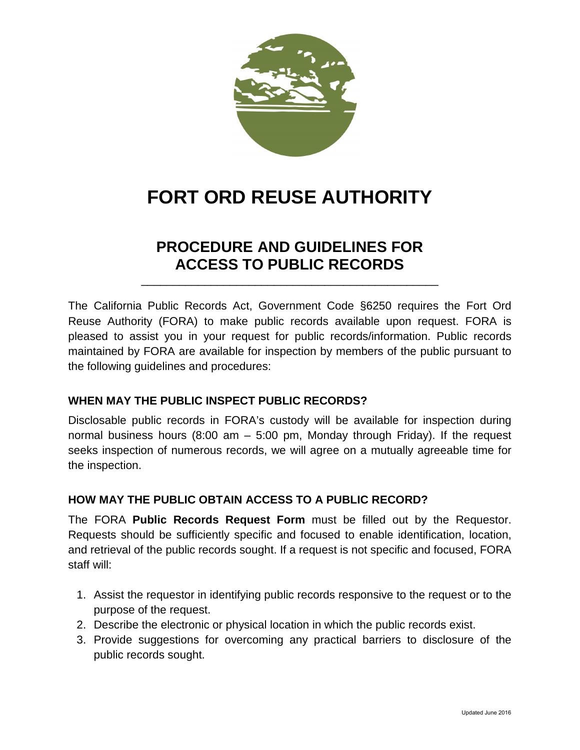

# **FORT ORD REUSE AUTHORITY**

# **PROCEDURE AND GUIDELINES FOR ACCESS TO PUBLIC RECORDS**

\_\_\_\_\_\_\_\_\_\_\_\_\_\_\_\_\_\_\_\_\_\_\_\_\_\_\_\_\_\_\_\_\_\_\_\_\_\_\_\_\_\_\_\_\_\_\_

The California Public Records Act, Government Code §6250 requires the Fort Ord Reuse Authority (FORA) to make public records available upon request. FORA is pleased to assist you in your request for public records/information. Public records maintained by FORA are available for inspection by members of the public pursuant to the following guidelines and procedures:

## **WHEN MAY THE PUBLIC INSPECT PUBLIC RECORDS?**

Disclosable public records in FORA's custody will be available for inspection during normal business hours (8:00 am – 5:00 pm, Monday through Friday). If the request seeks inspection of numerous records, we will agree on a mutually agreeable time for the inspection.

## **HOW MAY THE PUBLIC OBTAIN ACCESS TO A PUBLIC RECORD?**

The FORA **Public Records Request Form** must be filled out by the Requestor. Requests should be sufficiently specific and focused to enable identification, location, and retrieval of the public records sought. If a request is not specific and focused, FORA staff will:

- 1. Assist the requestor in identifying public records responsive to the request or to the purpose of the request.
- 2. Describe the electronic or physical location in which the public records exist.
- 3. Provide suggestions for overcoming any practical barriers to disclosure of the public records sought.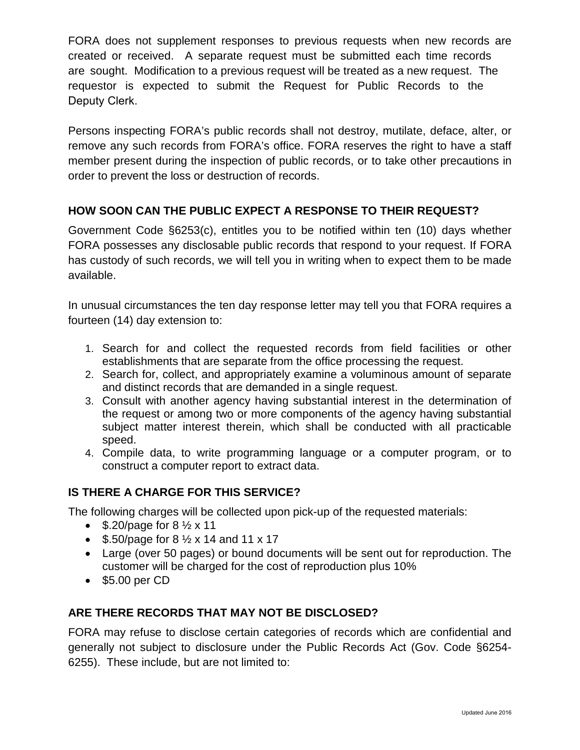FORA does not supplement responses to previous requests when new records are created or received. A separate request must be submitted each time records are sought. Modification to a previous request will be treated as a new request. The requestor is expected to submit the Request for Public Records to the Deputy Clerk.

Persons inspecting FORA's public records shall not destroy, mutilate, deface, alter, or remove any such records from FORA's office. FORA reserves the right to have a staff member present during the inspection of public records, or to take other precautions in order to prevent the loss or destruction of records.

# **HOW SOON CAN THE PUBLIC EXPECT A RESPONSE TO THEIR REQUEST?**

Government Code §6253(c), entitles you to be notified within ten (10) days whether FORA possesses any disclosable public records that respond to your request. If FORA has custody of such records, we will tell you in writing when to expect them to be made available.

In unusual circumstances the ten day response letter may tell you that FORA requires a fourteen (14) day extension to:

- 1. Search for and collect the requested records from field facilities or other establishments that are separate from the office processing the request.
- 2. Search for, collect, and appropriately examine a voluminous amount of separate and distinct records that are demanded in a single request.
- 3. Consult with another agency having substantial interest in the determination of the request or among two or more components of the agency having substantial subject matter interest therein, which shall be conducted with all practicable speed.
- 4. Compile data, to write programming language or a computer program, or to construct a computer report to extract data.

## **IS THERE A CHARGE FOR THIS SERVICE?**

The following charges will be collected upon pick-up of the requested materials:

- $$.20$ /page for 8  $\frac{1}{2}$  x 11
- $$.50/page$  for 8  $\frac{1}{2}$  x 14 and 11 x 17
- Large (over 50 pages) or bound documents will be sent out for reproduction. The customer will be charged for the cost of reproduction plus 10%
- \$5.00 per CD

## **ARE THERE RECORDS THAT MAY NOT BE DISCLOSED?**

FORA may refuse to disclose certain categories of records which are confidential and generally not subject to disclosure under the Public Records Act (Gov. Code §6254- 6255). These include, but are not limited to: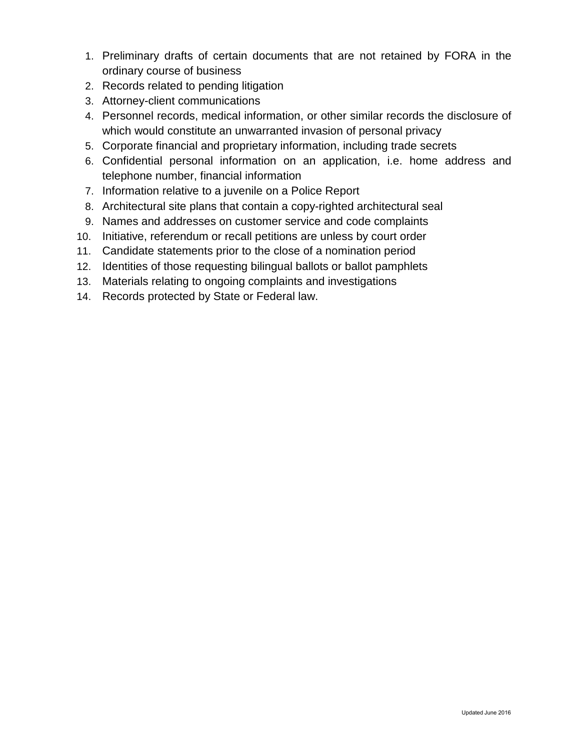- 1. Preliminary drafts of certain documents that are not retained by FORA in the ordinary course of business
- 2. Records related to pending litigation
- 3. Attorney-client communications
- 4. Personnel records, medical information, or other similar records the disclosure of which would constitute an unwarranted invasion of personal privacy
- 5. Corporate financial and proprietary information, including trade secrets
- 6. Confidential personal information on an application, i.e. home address and telephone number, financial information
- 7. Information relative to a juvenile on a Police Report
- 8. Architectural site plans that contain a copy-righted architectural seal
- 9. Names and addresses on customer service and code complaints
- 10. Initiative, referendum or recall petitions are unless by court order
- 11. Candidate statements prior to the close of a nomination period
- 12. Identities of those requesting bilingual ballots or ballot pamphlets
- 13. Materials relating to ongoing complaints and investigations
- 14. Records protected by State or Federal law.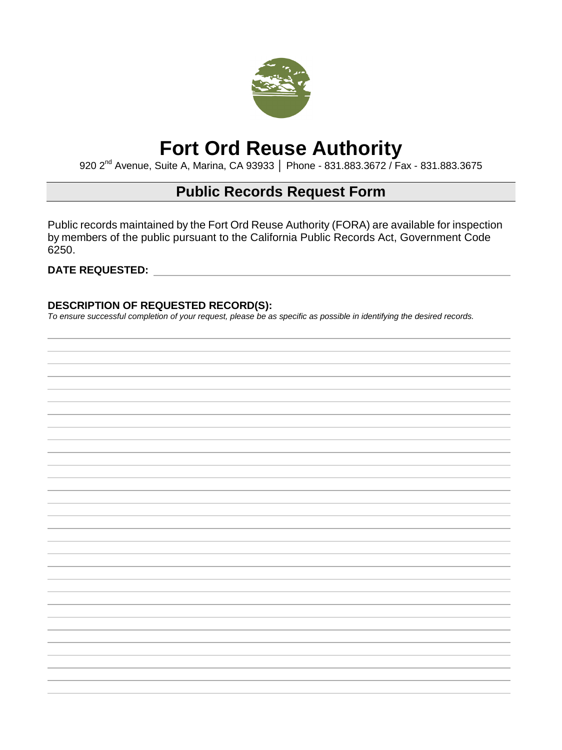

# **Fort Ord Reuse Authority**

920 2<sup>nd</sup> Avenue, Suite A, Marina, CA 93933 | Phone - 831.883.3672 / Fax - 831.883.3675

# **Public Records Request Form**

Public records maintained by the Fort Ord Reuse Authority (FORA) are available for inspection by members of the public pursuant to the California Public Records Act, Government Code 6250.

### **DATE REQUESTED:**

### **DESCRIPTION OF REQUESTED RECORD(S):**

*To ensure successful completion of your request, please be as specific as possible in identifying the desired records.*